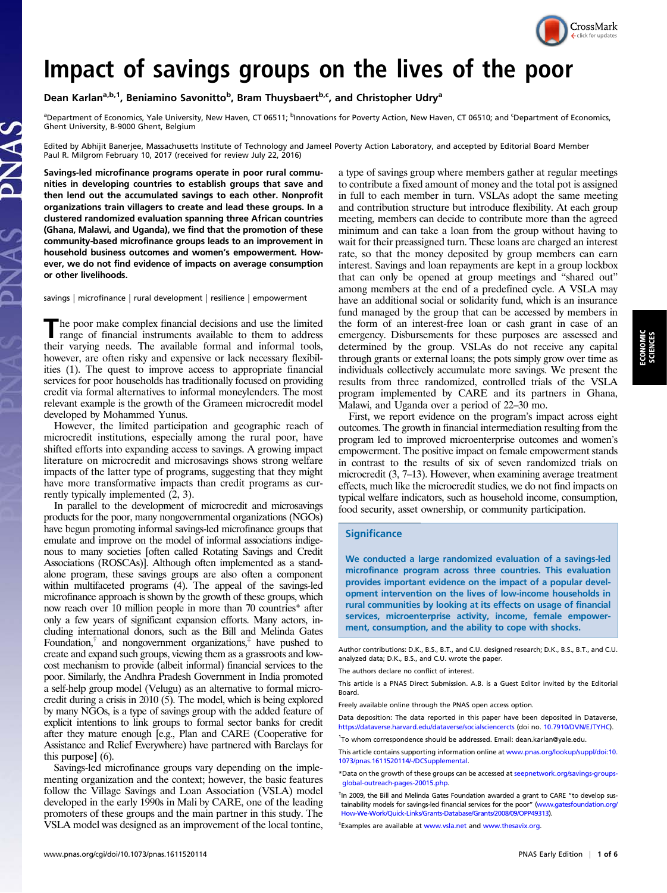

Impact of Savings groups of the poor of the poor in the poor the poor the poor the poor the poor the poor the poor Near Dean Karlan<sup>a,b,1</sup>, Beniamino Savonitto<sup>b</sup>, Bram Thuysbaert<sup>b,c</sup>, and Christopher Udry<sup>a</sup>

<sup>a</sup>Department of Economics, Yale University, New Haven, CT 06511; <sup>b</sup>Innovations for Poverty Action, New Haven, CT 06510; and <sup>c</sup>Department of Economics, Ghent University, B-9000 Ghent, Belgium

Edited by Abhijit Banerjee, Massachusetts Institute of Technology and Jameel Poverty Action Laboratory, and accepted by Editorial Board Member Paul R. Milgrom February 10, 2017 (received for review July 22, 2016)

Savings-led microfinance programs operate in poor rural communities in developing countries to establish groups that save and then lend out the accumulated savings to each other. Nonprofit organizations train villagers to create and lead these groups. In a clustered randomized evaluation spanning three African countries (Ghana, Malawi, and Uganda), we find that the promotion of these community-based microfinance groups leads to an improvement in household business outcomes and women's empowerment. However, we do not find evidence of impacts on average consumption or other livelihoods.

savings | microfinance | rural development | resilience | empowerment

The poor make complex financial decisions and use the limited range of financial instruments available to them to address their varying needs. The available formal and informal tools, however, are often risky and expensive or lack necessary flexibilities (1). The quest to improve access to appropriate financial services for poor households has traditionally focused on providing credit via formal alternatives to informal moneylenders. The most relevant example is the growth of the Grameen microcredit model developed by Mohammed Yunus.

However, the limited participation and geographic reach of microcredit institutions, especially among the rural poor, have shifted efforts into expanding access to savings. A growing impact literature on microcredit and microsavings shows strong welfare impacts of the latter type of programs, suggesting that they might have more transformative impacts than credit programs as currently typically implemented (2, 3).

In parallel to the development of microcredit and microsavings products for the poor, many nongovernmental organizations (NGOs) have begun promoting informal savings-led microfinance groups that emulate and improve on the model of informal associations indigenous to many societies [often called Rotating Savings and Credit Associations (ROSCAs)]. Although often implemented as a standalone program, these savings groups are also often a component within multifaceted programs (4). The appeal of the savings-led microfinance approach is shown by the growth of these groups, which now reach over 10 million people in more than 70 countries\* after only a few years of significant expansion efforts. Many actors, including international donors, such as the Bill and Melinda Gates Foundation, $\phi$  and nongovernment organizations, $\phi$  have pushed to create and expand such groups, viewing them as a grassroots and lowcost mechanism to provide (albeit informal) financial services to the poor. Similarly, the Andhra Pradesh Government in India promoted a self-help group model (Velugu) as an alternative to formal microcredit during a crisis in 2010 (5). The model, which is being explored by many NGOs, is a type of savings group with the added feature of explicit intentions to link groups to formal sector banks for credit after they mature enough [e.g., Plan and CARE (Cooperative for Assistance and Relief Everywhere) have partnered with Barclays for this purpose] (6).

Savings-led microfinance groups vary depending on the implementing organization and the context; however, the basic features follow the Village Savings and Loan Association (VSLA) model developed in the early 1990s in Mali by CARE, one of the leading promoters of these groups and the main partner in this study. The VSLA model was designed as an improvement of the local tontine,

a type of savings group where members gather at regular meetings to contribute a fixed amount of money and the total pot is assigned in full to each member in turn. VSLAs adopt the same meeting and contribution structure but introduce flexibility. At each group meeting, members can decide to contribute more than the agreed minimum and can take a loan from the group without having to wait for their preassigned turn. These loans are charged an interest rate, so that the money deposited by group members can earn interest. Savings and loan repayments are kept in a group lockbox that can only be opened at group meetings and "shared out" among members at the end of a predefined cycle. A VSLA may have an additional social or solidarity fund, which is an insurance fund managed by the group that can be accessed by members in the form of an interest-free loan or cash grant in case of an emergency. Disbursements for these purposes are assessed and determined by the group. VSLAs do not receive any capital through grants or external loans; the pots simply grow over time as individuals collectively accumulate more savings. We present the results from three randomized, controlled trials of the VSLA program implemented by CARE and its partners in Ghana, Malawi, and Uganda over a period of 22–30 mo.

First, we report evidence on the program's impact across eight outcomes. The growth in financial intermediation resulting from the program led to improved microenterprise outcomes and women's empowerment. The positive impact on female empowerment stands in contrast to the results of six of seven randomized trials on microcredit (3, 7–13). However, when examining average treatment effects, much like the microcredit studies, we do not find impacts on typical welfare indicators, such as household income, consumption, food security, asset ownership, or community participation.

## **Significance**

We conducted a large randomized evaluation of a savings-led microfinance program across three countries. This evaluation provides important evidence on the impact of a popular development intervention on the lives of low-income households in rural communities by looking at its effects on usage of financial services, microenterprise activity, income, female empowerment, consumption, and the ability to cope with shocks.

Author contributions: D.K., B.S., B.T., and C.U. designed research; D.K., B.S., B.T., and C.U. analyzed data; D.K., B.S., and C.U. wrote the paper.

The authors declare no conflict of interest.

This article is a PNAS Direct Submission. A.B. is a Guest Editor invited by the Editorial Board.

Freely available online through the PNAS open access option.

Data deposition: The data reported in this paper have been deposited in Dataverse, <https://dataverse.harvard.edu/dataverse/socialsciencercts> (doi no. [10.7910/DVN/EJTYHC\)](http://doi.org/10.7910/DVN/EJTYHC).

<sup>1</sup>To whom correspondence should be addressed. Email: [dean.karlan@yale.edu](mailto:dean.karlan@yale.edu).

This article contains supporting information online at [www.pnas.org/lookup/suppl/doi:10.](http://www.pnas.org/lookup/suppl/doi:10.1073/pnas.1611520114/-/DCSupplemental) [1073/pnas.1611520114/-/DCSupplemental](http://www.pnas.org/lookup/suppl/doi:10.1073/pnas.1611520114/-/DCSupplemental).

\*Data on the growth of these groups can be accessed at [seepnetwork.org/savings-groups](http://seepnetwork.org/savings-groups-global-outreach-pages-20015.php)[global-outreach-pages-20015.php.](http://seepnetwork.org/savings-groups-global-outreach-pages-20015.php)

<sup>t</sup>In 2009, the Bill and Melinda Gates Foundation awarded a grant to CARE "to develop sustainability models for savings-led financial services for the poor" [\(www.gatesfoundation.org/](http://www.gatesfoundation.org/How-We-Work/Quick-Links/Grants-Database/Grants/2008/09/OPP49313) [How-We-Work/Quick-Links/Grants-Database/Grants/2008/09/OPP49313](http://www.gatesfoundation.org/How-We-Work/Quick-Links/Grants-Database/Grants/2008/09/OPP49313)).

‡ Examples are available at [www.vsla.net](http://www.vsla.net/) and [www.thesavix.org.](http://www.thesavix.org/)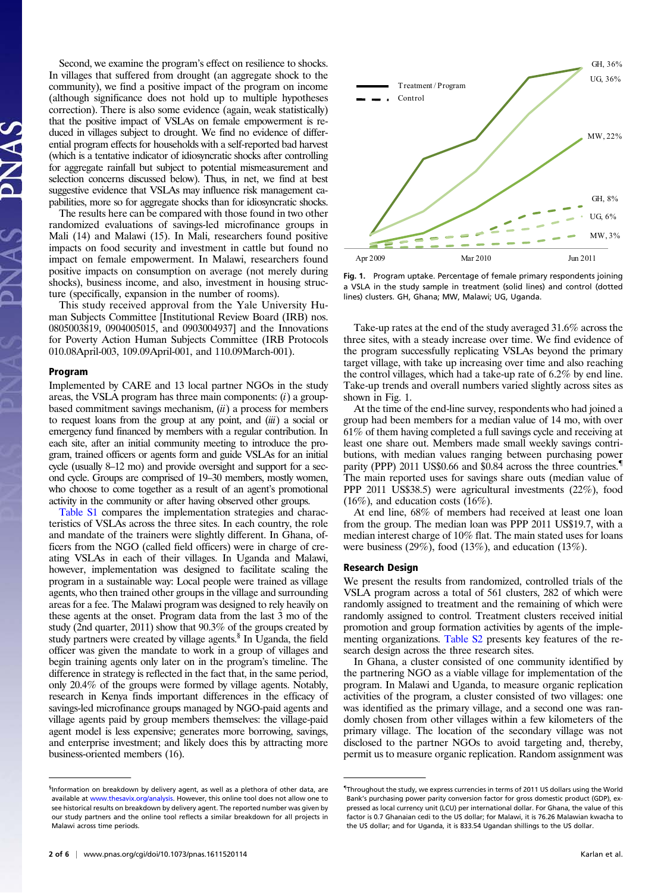Second, we examine the program's effect on resilience to shocks. In villages that suffered from drought (an aggregate shock to the community), we find a positive impact of the program on income (although significance does not hold up to multiple hypotheses correction). There is also some evidence (again, weak statistically) that the positive impact of VSLAs on female empowerment is reduced in villages subject to drought. We find no evidence of differential program effects for households with a self-reported bad harvest (which is a tentative indicator of idiosyncratic shocks after controlling for aggregate rainfall but subject to potential mismeasurement and selection concerns discussed below). Thus, in net, we find at best suggestive evidence that VSLAs may influence risk management capabilities, more so for aggregate shocks than for idiosyncratic shocks.

The results here can be compared with those found in two other randomized evaluations of savings-led microfinance groups in Mali (14) and Malawi (15). In Mali, researchers found positive impacts on food security and investment in cattle but found no impact on female empowerment. In Malawi, researchers found positive impacts on consumption on average (not merely during shocks), business income, and also, investment in housing structure (specifically, expansion in the number of rooms).

This study received approval from the Yale University Human Subjects Committee [Institutional Review Board (IRB) nos. 0805003819, 0904005015, and 0903004937] and the Innovations for Poverty Action Human Subjects Committee (IRB Protocols 010.08April-003, 109.09April-001, and 110.09March-001).

Implemented by CARE and 13 local partner NGOs in the study areas, the VSLA program has three main components:  $(i)$  a groupbased commitment savings mechanism,  $(ii)$  a process for members to request loans from the group at any point, and  $(iii)$  a social or emergency fund financed by members with a regular contribution. In each site, after an initial community meeting to introduce the program, trained officers or agents form and guide VSLAs for an initial cycle (usually 8–12 mo) and provide oversight and support for a second cycle. Groups are comprised of 19–30 members, mostly women, who choose to come together as a result of an agent's promotional activity in the community or after having observed other groups.

[Table S1](http://www.pnas.org/lookup/suppl/doi:10.1073/pnas.1611520114/-/DCSupplemental/pnas.201611520SI.pdf?targetid=nameddest=ST1) compares the implementation strategies and characteristics of VSLAs across the three sites. In each country, the role and mandate of the trainers were slightly different. In Ghana, officers from the NGO (called field officers) were in charge of creating VSLAs in each of their villages. In Uganda and Malawi, however, implementation was designed to facilitate scaling the program in a sustainable way: Local people were trained as village agents, who then trained other groups in the village and surrounding areas for a fee. The Malawi program was designed to rely heavily on these agents at the onset. Program data from the last 3 mo of the study (2nd quarter, 2011) show that 90.3% of the groups created by study partners were created by village agents.<sup>§</sup> In Uganda, the field officer was given the mandate to work in a group of villages and begin training agents only later on in the program's timeline. The difference in strategy is reflected in the fact that, in the same period, only 20.4% of the groups were formed by village agents. Notably, research in Kenya finds important differences in the efficacy of savings-led microfinance groups managed by NGO-paid agents and village agents paid by group members themselves: the village-paid agent model is less expensive; generates more borrowing, savings, and enterprise investment; and likely does this by attracting more business-oriented members (16).



Fig. 1. Program uptake. Percentage of female primary respondents joining a VSLA in the study sample in treatment (solid lines) and control (dotted lines) clusters. GH, Ghana; MW, Malawi; UG, Uganda.

Take-up rates at the end of the study averaged 31.6% across the three sites, with a steady increase over time. We find evidence of the program successfully replicating VSLAs beyond the primary target village, with take up increasing over time and also reaching the control villages, which had a take-up rate of 6.2% by end line. Take-up trends and overall numbers varied slightly across sites as shown in Fig. 1.

At the time of the end-line survey, respondents who had joined a group had been members for a median value of 14 mo, with over 61% of them having completed a full savings cycle and receiving at least one share out. Members made small weekly savings contributions, with median values ranging between purchasing power parity (PPP) 2011 US\$0.66 and \$0.84 across the three countries.<sup>1</sup> The main reported uses for savings share outs (median value of PPP 2011 US\$38.5) were agricultural investments (22%), food  $(16\%)$ , and education costs  $(16\%)$ .

At end line, 68% of members had received at least one loan from the group. The median loan was PPP 2011 US\$19.7, with a median interest charge of 10% flat. The main stated uses for loans were business  $(29\%)$ , food  $(13\%)$ , and education  $(13\%)$ .

We present the results from randomized, controlled trials of the VSLA program across a total of 561 clusters, 282 of which were randomly assigned to treatment and the remaining of which were randomly assigned to control. Treatment clusters received initial promotion and group formation activities by agents of the implementing organizations. [Table S2](http://www.pnas.org/lookup/suppl/doi:10.1073/pnas.1611520114/-/DCSupplemental/pnas.201611520SI.pdf?targetid=nameddest=ST2) presents key features of the research design across the three research sites.

In Ghana, a cluster consisted of one community identified by the partnering NGO as a viable village for implementation of the program. In Malawi and Uganda, to measure organic replication activities of the program, a cluster consisted of two villages: one was identified as the primary village, and a second one was randomly chosen from other villages within a few kilometers of the primary village. The location of the secondary village was not disclosed to the partner NGOs to avoid targeting and, thereby, permit us to measure organic replication. Random assignment was

<sup>§</sup>Information on breakdown by delivery agent, as well as a plethora of other data, are available at [www.thesavix.org/analysis.](http://www.thesavix.org/analysis) However, this online tool does not allow one to see historical results on breakdown by delivery agent. The reported number was given by our study partners and the online tool reflects a similar breakdown for all projects in Malawi across time periods.

<sup>{</sup> Throughout the study, we express currencies in terms of 2011 US dollars using the World Bank's purchasing power parity conversion factor for gross domestic product (GDP), expressed as local currency unit (LCU) per international dollar. For Ghana, the value of this factor is 0.7 Ghanaian cedi to the US dollar; for Malawi, it is 76.26 Malawian kwacha to the US dollar; and for Uganda, it is 833.54 Ugandan shillings to the US dollar.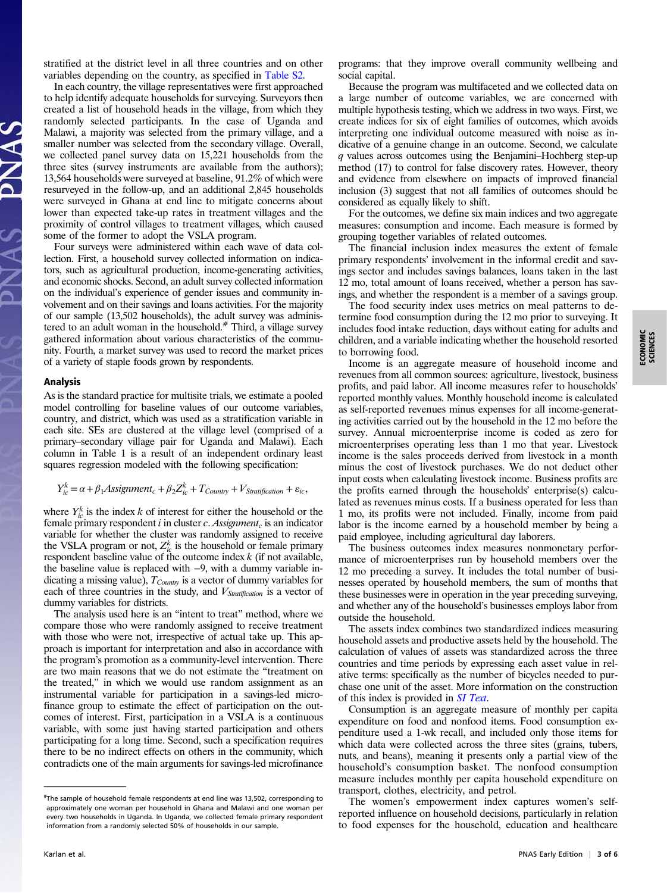stratified at the district level in all three countries and on other variables depending on the country, as specified in [Table S2.](http://www.pnas.org/lookup/suppl/doi:10.1073/pnas.1611520114/-/DCSupplemental/pnas.201611520SI.pdf?targetid=nameddest=ST2)

In each country, the village representatives were first approached to help identify adequate households for surveying. Surveyors then created a list of household heads in the village, from which they randomly selected participants. In the case of Uganda and Malawi, a majority was selected from the primary village, and a smaller number was selected from the secondary village. Overall, we collected panel survey data on 15,221 households from the three sites (survey instruments are available from the authors); 13,564 households were surveyed at baseline, 91.2% of which were resurveyed in the follow-up, and an additional 2,845 households were surveyed in Ghana at end line to mitigate concerns about lower than expected take-up rates in treatment villages and the proximity of control villages to treatment villages, which caused some of the former to adopt the VSLA program.

Four surveys were administered within each wave of data collection. First, a household survey collected information on indicators, such as agricultural production, income-generating activities, and economic shocks. Second, an adult survey collected information on the individual's experience of gender issues and community involvement and on their savings and loans activities. For the majority of our sample (13,502 households), the adult survey was administered to an adult woman in the household.<sup>#</sup> Third, a village survey gathered information about various characteristics of the community. Fourth, a market survey was used to record the market prices of a variety of staple foods grown by respondents.

As is the standard practice for multisite trials, we estimate a pooled model controlling for baseline values of our outcome variables, country, and district, which was used as a stratification variable in each site. SEs are clustered at the village level (comprised of a primary–secondary village pair for Uganda and Malawi). Each column in Table 1 is a result of an independent ordinary least squares regression modeled with the following specification:

$$
Y_{ic}^k = \alpha + \beta_1 \text{Assignment}_c + \beta_2 Z_{ic}^k + T_{Country} + V_{Stratification} + \varepsilon_{ic},
$$

where  $Y_k^k$  is the index k of interest for either the household or the female primary respondent i in cluster c. Assignment, is an indicator female primary respondent i in cluster c. Assignment<sub>c</sub> is an indicator variable for whether the cluster was randomly assigned to receive the VSLA program or not,  $Z_k^k$  is the household or female primary<br>respondent baseline value of the outcome index k (if not available respondent baseline value of the outcome index  $k$  (if not available, the baseline value is replaced with  $-9$  with a dummy variable inthe baseline value is replaced with −9, with a dummy variable indicating a missing value),  $T_{Country}$  is a vector of dummy variables for each of three countries in the study, and  $V_{\text{Stratification}}$  is a vector of dummy variables for districts.

The analysis used here is an "intent to treat" method, where we compare those who were randomly assigned to receive treatment with those who were not, irrespective of actual take up. This approach is important for interpretation and also in accordance with the program's promotion as a community-level intervention. There are two main reasons that we do not estimate the "treatment on the treated," in which we would use random assignment as an instrumental variable for participation in a savings-led microfinance group to estimate the effect of participation on the outcomes of interest. First, participation in a VSLA is a continuous variable, with some just having started participation and others participating for a long time. Second, such a specification requires there to be no indirect effects on others in the community, which contradicts one of the main arguments for savings-led microfinance

programs: that they improve overall community wellbeing and social capital.

Because the program was multifaceted and we collected data on a large number of outcome variables, we are concerned with multiple hypothesis testing, which we address in two ways. First, we create indices for six of eight families of outcomes, which avoids interpreting one individual outcome measured with noise as indicative of a genuine change in an outcome. Second, we calculate q values across outcomes using the Benjamini–Hochberg step-up method (17) to control for false discovery rates. However, theory and evidence from elsewhere on impacts of improved financial inclusion (3) suggest that not all families of outcomes should be considered as equally likely to shift.

For the outcomes, we define six main indices and two aggregate measures: consumption and income. Each measure is formed by grouping together variables of related outcomes.

The financial inclusion index measures the extent of female primary respondents' involvement in the informal credit and savings sector and includes savings balances, loans taken in the last 12 mo, total amount of loans received, whether a person has savings, and whether the respondent is a member of a savings group.

The food security index uses metrics on meal patterns to determine food consumption during the 12 mo prior to surveying. It includes food intake reduction, days without eating for adults and children, and a variable indicating whether the household resorted to borrowing food.

Income is an aggregate measure of household income and revenues from all common sources: agriculture, livestock, business profits, and paid labor. All income measures refer to households' reported monthly values. Monthly household income is calculated as self-reported revenues minus expenses for all income-generating activities carried out by the household in the 12 mo before the survey. Annual microenterprise income is coded as zero for microenterprises operating less than 1 mo that year. Livestock income is the sales proceeds derived from livestock in a month minus the cost of livestock purchases. We do not deduct other input costs when calculating livestock income. Business profits are the profits earned through the households' enterprise(s) calculated as revenues minus costs. If a business operated for less than 1 mo, its profits were not included. Finally, income from paid labor is the income earned by a household member by being a paid employee, including agricultural day laborers.

The business outcomes index measures nonmonetary performance of microenterprises run by household members over the 12 mo preceding a survey. It includes the total number of businesses operated by household members, the sum of months that these businesses were in operation in the year preceding surveying, and whether any of the household's businesses employs labor from outside the household.

The assets index combines two standardized indices measuring household assets and productive assets held by the household. The calculation of values of assets was standardized across the three countries and time periods by expressing each asset value in relative terms: specifically as the number of bicycles needed to purchase one unit of the asset. More information on the construction of this index is provided in [SI Text](http://www.pnas.org/lookup/suppl/doi:10.1073/pnas.1611520114/-/DCSupplemental/pnas.201611520SI.pdf?targetid=nameddest=STXT).

Consumption is an aggregate measure of monthly per capita expenditure on food and nonfood items. Food consumption expenditure used a 1-wk recall, and included only those items for which data were collected across the three sites (grains, tubers, nuts, and beans), meaning it presents only a partial view of the household's consumption basket. The nonfood consumption measure includes monthly per capita household expenditure on transport, clothes, electricity, and petrol.

The women's empowerment index captures women's selfreported influence on household decisions, particularly in relation to food expenses for the household, education and healthcare

<sup>#</sup> The sample of household female respondents at end line was 13,502, corresponding to approximately one woman per household in Ghana and Malawi and one woman per every two households in Uganda. In Uganda, we collected female primary respondent information from a randomly selected 50% of households in our sample.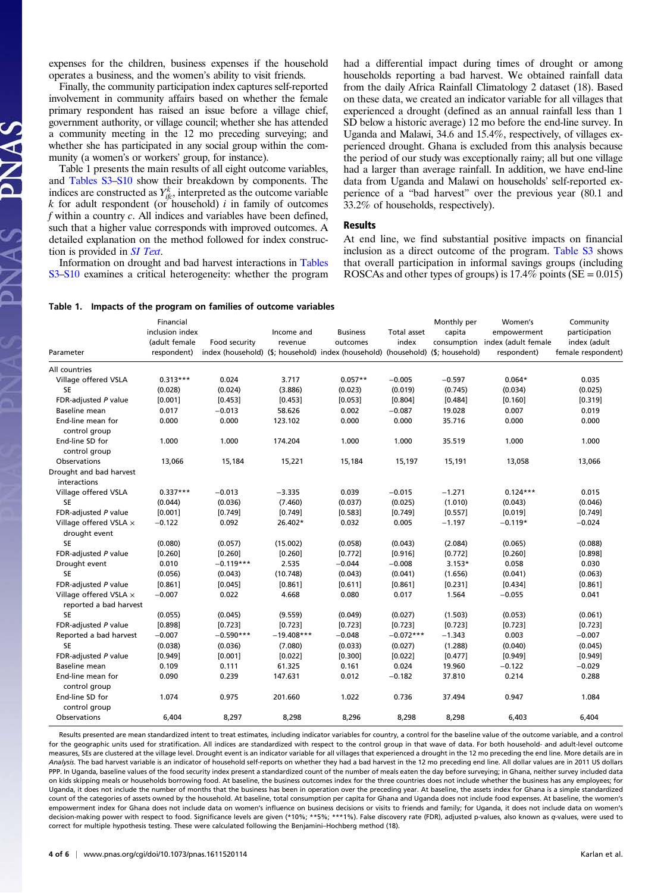expenses for the children, business expenses if the household operates a business, and the women's ability to visit friends.

Finally, the community participation index captures self-reported involvement in community affairs based on whether the female primary respondent has raised an issue before a village chief, government authority, or village council; whether she has attended a community meeting in the 12 mo preceding surveying; and whether she has participated in any social group within the community (a women's or workers' group, for instance).

Table 1 presents the main results of all eight outcome variables, and [Tables S3](http://www.pnas.org/lookup/suppl/doi:10.1073/pnas.1611520114/-/DCSupplemental/pnas.201611520SI.pdf?targetid=nameddest=ST3)–[S10](http://www.pnas.org/lookup/suppl/doi:10.1073/pnas.1611520114/-/DCSupplemental/pnas.201611520SI.pdf?targetid=nameddest=ST10) show their breakdown by components. The indices are constructed as  $Y_{ifc}^k$ , interpreted as the outcome variable  $k$  for adult respondent (or household) *i* in family of outcomes  $k$  for adult respondent (or household)  $i$  in family of outcomes f within a country c. All indices and variables have been defined, such that a higher value corresponds with improved outcomes. A detailed explanation on the method followed for index construction is provided in [SI Text](http://www.pnas.org/lookup/suppl/doi:10.1073/pnas.1611520114/-/DCSupplemental/pnas.201611520SI.pdf?targetid=nameddest=STXT).

AS PNAS

Information on drought and bad harvest interactions in [Tables](http://www.pnas.org/lookup/suppl/doi:10.1073/pnas.1611520114/-/DCSupplemental/pnas.201611520SI.pdf?targetid=nameddest=ST3) [S3](http://www.pnas.org/lookup/suppl/doi:10.1073/pnas.1611520114/-/DCSupplemental/pnas.201611520SI.pdf?targetid=nameddest=ST3)–[S10](http://www.pnas.org/lookup/suppl/doi:10.1073/pnas.1611520114/-/DCSupplemental/pnas.201611520SI.pdf?targetid=nameddest=ST10) examines a critical heterogeneity: whether the program had a differential impact during times of drought or among households reporting a bad harvest. We obtained rainfall data from the daily Africa Rainfall Climatology 2 dataset (18). Based on these data, we created an indicator variable for all villages that experienced a drought (defined as an annual rainfall less than 1 SD below a historic average) 12 mo before the end-line survey. In Uganda and Malawi, 34.6 and 15.4%, respectively, of villages experienced drought. Ghana is excluded from this analysis because the period of our study was exceptionally rainy; all but one village had a larger than average rainfall. In addition, we have end-line data from Uganda and Malawi on households' self-reported experience of a "bad harvest" over the previous year (80.1 and 33.2% of households, respectively).

At end line, we find substantial positive impacts on financial inclusion as a direct outcome of the program. [Table S3](http://www.pnas.org/lookup/suppl/doi:10.1073/pnas.1611520114/-/DCSupplemental/pnas.201611520SI.pdf?targetid=nameddest=ST3) shows that overall participation in informal savings groups (including ROSCAs and other types of groups) is  $17.4\%$  points (SE = 0.015)

# Table 1. Impacts of the program on families of outcome variables

| Parameter                                        | Financial<br>inclusion index<br>(adult female<br>respondent) | Food security | Income and<br>revenue | <b>Business</b><br>outcomes<br>index (household) (\$; household) index (household) (household) (\$; household) | Total asset<br>index | Monthly per<br>capita<br>consumption | Women's<br>empowerment<br>index (adult female<br>respondent) | Community<br>participation<br>index (adult<br>female respondent) |
|--------------------------------------------------|--------------------------------------------------------------|---------------|-----------------------|----------------------------------------------------------------------------------------------------------------|----------------------|--------------------------------------|--------------------------------------------------------------|------------------------------------------------------------------|
| All countries                                    |                                                              |               |                       |                                                                                                                |                      |                                      |                                                              |                                                                  |
| Village offered VSLA                             | $0.313***$                                                   | 0.024         | 3.717                 | $0.057**$                                                                                                      | $-0.005$             | $-0.597$                             | $0.064*$                                                     | 0.035                                                            |
| <b>SE</b>                                        | (0.028)                                                      | (0.024)       | (3.886)               | (0.023)                                                                                                        | (0.019)              | (0.745)                              | (0.034)                                                      | (0.025)                                                          |
| FDR-adjusted P value                             | [0.001]                                                      | [0.453]       | [0.453]               | [0.053]                                                                                                        | [0.804]              | [0.484]                              | [0.160]                                                      | [0.319]                                                          |
| Baseline mean                                    | 0.017                                                        | $-0.013$      | 58.626                | 0.002                                                                                                          | $-0.087$             | 19.028                               | 0.007                                                        | 0.019                                                            |
| End-line mean for<br>control group               | 0.000                                                        | 0.000         | 123.102               | 0.000                                                                                                          | 0.000                | 35.716                               | 0.000                                                        | 0.000                                                            |
| End-line SD for<br>control group                 | 1.000                                                        | 1.000         | 174.204               | 1.000                                                                                                          | 1.000                | 35.519                               | 1.000                                                        | 1.000                                                            |
| Observations                                     | 13,066                                                       | 15,184        | 15,221                | 15,184                                                                                                         | 15,197               | 15,191                               | 13,058                                                       | 13,066                                                           |
| Drought and bad harvest<br>interactions          |                                                              |               |                       |                                                                                                                |                      |                                      |                                                              |                                                                  |
| Village offered VSLA                             | $0.337***$                                                   | $-0.013$      | $-3.335$              | 0.039                                                                                                          | $-0.015$             | $-1.271$                             | $0.124***$                                                   | 0.015                                                            |
| <b>SE</b>                                        | (0.044)                                                      | (0.036)       | (7.460)               | (0.037)                                                                                                        | (0.025)              | (1.010)                              | (0.043)                                                      | (0.046)                                                          |
| FDR-adjusted P value                             | [0.001]                                                      | [0.749]       | [0.749]               | [0.583]                                                                                                        | [0.749]              | [0.557]                              | [0.019]                                                      | [0.749]                                                          |
| Village offered VSLA $\times$<br>drought event   | $-0.122$                                                     | 0.092         | 26.402*               | 0.032                                                                                                          | 0.005                | $-1.197$                             | $-0.119*$                                                    | $-0.024$                                                         |
| <b>SE</b>                                        | (0.080)                                                      | (0.057)       | (15.002)              | (0.058)                                                                                                        | (0.043)              | (2.084)                              | (0.065)                                                      | (0.088)                                                          |
| FDR-adjusted P value                             | [0.260]                                                      | [0.260]       | [0.260]               | [0.772]                                                                                                        | [0.916]              | [0.772]                              | [0.260]                                                      | [0.898]                                                          |
| Drought event                                    | 0.010                                                        | $-0.119***$   | 2.535                 | $-0.044$                                                                                                       | $-0.008$             | $3.153*$                             | 0.058                                                        | 0.030                                                            |
| <b>SE</b>                                        | (0.056)                                                      | (0.043)       | (10.748)              | (0.043)                                                                                                        | (0.041)              | (1.656)                              | (0.041)                                                      | (0.063)                                                          |
| FDR-adjusted P value                             | [0.861]                                                      | [0.045]       | [0.861]               | [0.611]                                                                                                        | [0.861]              | [0.231]                              | [0.434]                                                      | [0.861]                                                          |
| Village offered VSLA x<br>reported a bad harvest | $-0.007$                                                     | 0.022         | 4.668                 | 0.080                                                                                                          | 0.017                | 1.564                                | $-0.055$                                                     | 0.041                                                            |
| <b>SE</b>                                        | (0.055)                                                      | (0.045)       | (9.559)               | (0.049)                                                                                                        | (0.027)              | (1.503)                              | (0.053)                                                      | (0.061)                                                          |
| FDR-adjusted P value                             | [0.898]                                                      | [0.723]       | [0.723]               | [0.723]                                                                                                        | [0.723]              | [0.723]                              | [0.723]                                                      | [0.723]                                                          |
| Reported a bad harvest                           | $-0.007$                                                     | $-0.590***$   | $-19.408***$          | $-0.048$                                                                                                       | $-0.072***$          | $-1.343$                             | 0.003                                                        | $-0.007$                                                         |
| <b>SE</b>                                        | (0.038)                                                      | (0.036)       | (7.080)               | (0.033)                                                                                                        | (0.027)              | (1.288)                              | (0.040)                                                      | (0.045)                                                          |
| FDR-adjusted P value                             | [0.949]                                                      | [0.001]       | [0.022]               | [0.300]                                                                                                        | [0.022]              | [0.477]                              | [0.949]                                                      | [0.949]                                                          |
| Baseline mean                                    | 0.109                                                        | 0.111         | 61.325                | 0.161                                                                                                          | 0.024                | 19.960                               | $-0.122$                                                     | $-0.029$                                                         |
| End-line mean for<br>control group               | 0.090                                                        | 0.239         | 147.631               | 0.012                                                                                                          | $-0.182$             | 37.810                               | 0.214                                                        | 0.288                                                            |
| End-line SD for<br>control group                 | 1.074                                                        | 0.975         | 201.660               | 1.022                                                                                                          | 0.736                | 37.494                               | 0.947                                                        | 1.084                                                            |
| Observations                                     | 6,404                                                        | 8,297         | 8,298                 | 8,296                                                                                                          | 8,298                | 8,298                                | 6,403                                                        | 6,404                                                            |

Results presented are mean standardized intent to treat estimates, including indicator variables for country, a control for the baseline value of the outcome variable, and a control for the geographic units used for stratification. All indices are standardized with respect to the control group in that wave of data. For both household- and adult-level outcome measures, SEs are clustered at the village level. Drought event is an indicator variable for all villages that experienced a drought in the 12 mo preceding the end line. More details are in Analysis. The bad harvest variable is an indicator of household self-reports on whether they had a bad harvest in the 12 mo preceding end line. All dollar values are in 2011 US dollars PPP. In Uganda, baseline values of the food security index present a standardized count of the number of meals eaten the day before surveying; in Ghana, neither survey included data on kids skipping meals or households borrowing food. At baseline, the business outcomes index for the three countries does not include whether the business has any employees; for Uganda, it does not include the number of months that the business has been in operation over the preceding year. At baseline, the assets index for Ghana is a simple standardized count of the categories of assets owned by the household. At baseline, total consumption per capita for Ghana and Uganda does not include food expenses. At baseline, the women's empowerment index for Ghana does not include data on women's influence on business decisions or visits to friends and family; for Uganda, it does not include data on women's decision-making power with respect to food. Significance levels are given (\*10%; \*\*5%; \*\*\*1%). False discovery rate (FDR), adjusted p-values, also known as q-values, were used to correct for multiple hypothesis testing. These were calculated following the Benjamini–Hochberg method (18).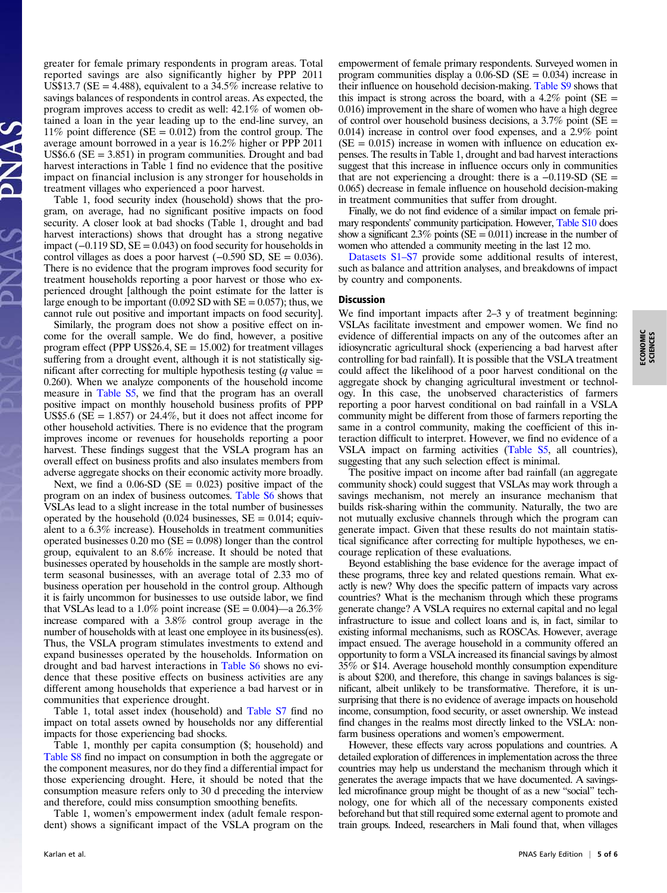greater for female primary respondents in program areas. Total reported savings are also significantly higher by PPP 2011 US\$13.7 (SE = 4.488), equivalent to a  $34.5\%$  increase relative to savings balances of respondents in control areas. As expected, the program improves access to credit as well: 42.1% of women obtained a loan in the year leading up to the end-line survey, an 11% point difference ( $SE = 0.012$ ) from the control group. The average amount borrowed in a year is 16.2% higher or PPP 2011 US\$6.6 ( $SE = 3.851$ ) in program communities. Drought and bad harvest interactions in Table 1 find no evidence that the positive impact on financial inclusion is any stronger for households in treatment villages who experienced a poor harvest.

Table 1, food security index (household) shows that the program, on average, had no significant positive impacts on food security. A closer look at bad shocks (Table 1, drought and bad harvest interactions) shows that drought has a strong negative impact  $(-0.119 S D, SE = 0.043)$  on food security for households in control villages as does a poor harvest (−0.590 SD, SE = 0.036). There is no evidence that the program improves food security for treatment households reporting a poor harvest or those who experienced drought [although the point estimate for the latter is large enough to be important (0.092 SD with  $SE = 0.057$ ); thus, we cannot rule out positive and important impacts on food security].

Similarly, the program does not show a positive effect on income for the overall sample. We do find, however, a positive program effect (PPP US\$26.4,  $SE = 15.002$ ) for treatment villages suffering from a drought event, although it is not statistically significant after correcting for multiple hypothesis testing  $(q$  value = 0.260). When we analyze components of the household income measure in [Table S5](http://www.pnas.org/lookup/suppl/doi:10.1073/pnas.1611520114/-/DCSupplemental/pnas.201611520SI.pdf?targetid=nameddest=ST5), we find that the program has an overall positive impact on monthly household business profits of PPP US\$5.6 ( $SE = 1.857$ ) or 24.4%, but it does not affect income for other household activities. There is no evidence that the program improves income or revenues for households reporting a poor harvest. These findings suggest that the VSLA program has an overall effect on business profits and also insulates members from adverse aggregate shocks on their economic activity more broadly.

Next, we find a  $0.06$ -SD (SE = 0.023) positive impact of the program on an index of business outcomes. [Table S6](http://www.pnas.org/lookup/suppl/doi:10.1073/pnas.1611520114/-/DCSupplemental/pnas.201611520SI.pdf?targetid=nameddest=ST6) shows that VSLAs lead to a slight increase in the total number of businesses operated by the household  $(0.024 \text{ business, } SE = 0.014; \text{ equiv-}$ alent to a 6.3% increase). Households in treatment communities operated businesses  $0.20 \text{ mo} (\text{SE} = 0.098)$  longer than the control group, equivalent to an 8.6% increase. It should be noted that businesses operated by households in the sample are mostly shortterm seasonal businesses, with an average total of 2.33 mo of business operation per household in the control group. Although it is fairly uncommon for businesses to use outside labor, we find that VSLAs lead to a 1.0% point increase (SE =  $0.004$ )—a 26.3% increase compared with a 3.8% control group average in the number of households with at least one employee in its business(es). Thus, the VSLA program stimulates investments to extend and expand businesses operated by the households. Information on drought and bad harvest interactions in [Table S6](http://www.pnas.org/lookup/suppl/doi:10.1073/pnas.1611520114/-/DCSupplemental/pnas.201611520SI.pdf?targetid=nameddest=ST6) shows no evidence that these positive effects on business activities are any different among households that experience a bad harvest or in communities that experience drought.

Table 1, total asset index (household) and [Table S7](http://www.pnas.org/lookup/suppl/doi:10.1073/pnas.1611520114/-/DCSupplemental/pnas.201611520SI.pdf?targetid=nameddest=ST7) find no impact on total assets owned by households nor any differential impacts for those experiencing bad shocks.

Table 1, monthly per capita consumption (\$; household) and [Table S8](http://www.pnas.org/lookup/suppl/doi:10.1073/pnas.1611520114/-/DCSupplemental/pnas.201611520SI.pdf?targetid=nameddest=ST8) find no impact on consumption in both the aggregate or the component measures, nor do they find a differential impact for those experiencing drought. Here, it should be noted that the consumption measure refers only to 30 d preceding the interview and therefore, could miss consumption smoothing benefits.

Table 1, women's empowerment index (adult female respondent) shows a significant impact of the VSLA program on the empowerment of female primary respondents. Surveyed women in program communities display a  $0.06$ -SD (SE =  $0.034$ ) increase in their influence on household decision-making. [Table S9](http://www.pnas.org/lookup/suppl/doi:10.1073/pnas.1611520114/-/DCSupplemental/pnas.201611520SI.pdf?targetid=nameddest=ST9) shows that this impact is strong across the board, with a  $4.2\%$  point (SE = 0.016) improvement in the share of women who have a high degree of control over household business decisions, a  $3.7\%$  point (SE = 0.014) increase in control over food expenses, and a 2.9% point  $(SE = 0.015)$  increase in women with influence on education expenses. The results in Table 1, drought and bad harvest interactions suggest that this increase in influence occurs only in communities that are not experiencing a drought: there is a  $-0.119$ -SD (SE = 0.065) decrease in female influence on household decision-making in treatment communities that suffer from drought.

Finally, we do not find evidence of a similar impact on female primary respondents' community participation. However, [Table S10](http://www.pnas.org/lookup/suppl/doi:10.1073/pnas.1611520114/-/DCSupplemental/pnas.201611520SI.pdf?targetid=nameddest=ST10) does show a significant 2.3% points ( $SE = 0.011$ ) increase in the number of women who attended a community meeting in the last 12 mo.

[Datasets S1](http://www.pnas.org/lookup/suppl/doi:10.1073/pnas.1611520114/-/DCSupplemental)–[S7](http://www.pnas.org/lookup/suppl/doi:10.1073/pnas.1611520114/-/DCSupplemental) provide some additional results of interest, such as balance and attrition analyses, and breakdowns of impact by country and components.

We find important impacts after 2–3 y of treatment beginning: VSLAs facilitate investment and empower women. We find no evidence of differential impacts on any of the outcomes after an idiosyncratic agricultural shock (experiencing a bad harvest after controlling for bad rainfall). It is possible that the VSLA treatment could affect the likelihood of a poor harvest conditional on the aggregate shock by changing agricultural investment or technology. In this case, the unobserved characteristics of farmers reporting a poor harvest conditional on bad rainfall in a VSLA community might be different from those of farmers reporting the same in a control community, making the coefficient of this interaction difficult to interpret. However, we find no evidence of a VSLA impact on farming activities [\(Table S5,](http://www.pnas.org/lookup/suppl/doi:10.1073/pnas.1611520114/-/DCSupplemental/pnas.201611520SI.pdf?targetid=nameddest=ST5) all countries), suggesting that any such selection effect is minimal.

The positive impact on income after bad rainfall (an aggregate community shock) could suggest that VSLAs may work through a savings mechanism, not merely an insurance mechanism that builds risk-sharing within the community. Naturally, the two are not mutually exclusive channels through which the program can generate impact. Given that these results do not maintain statistical significance after correcting for multiple hypotheses, we encourage replication of these evaluations.

Beyond establishing the base evidence for the average impact of these programs, three key and related questions remain. What exactly is new? Why does the specific pattern of impacts vary across countries? What is the mechanism through which these programs generate change? A VSLA requires no external capital and no legal infrastructure to issue and collect loans and is, in fact, similar to existing informal mechanisms, such as ROSCAs. However, average impact ensued. The average household in a community offered an opportunity to form a VSLA increased its financial savings by almost 35% or \$14. Average household monthly consumption expenditure is about \$200, and therefore, this change in savings balances is significant, albeit unlikely to be transformative. Therefore, it is unsurprising that there is no evidence of average impacts on household income, consumption, food security, or asset ownership. We instead find changes in the realms most directly linked to the VSLA: nonfarm business operations and women's empowerment.

However, these effects vary across populations and countries. A detailed exploration of differences in implementation across the three countries may help us understand the mechanism through which it generates the average impacts that we have documented. A savingsled microfinance group might be thought of as a new "social" technology, one for which all of the necessary components existed beforehand but that still required some external agent to promote and train groups. Indeed, researchers in Mali found that, when villages